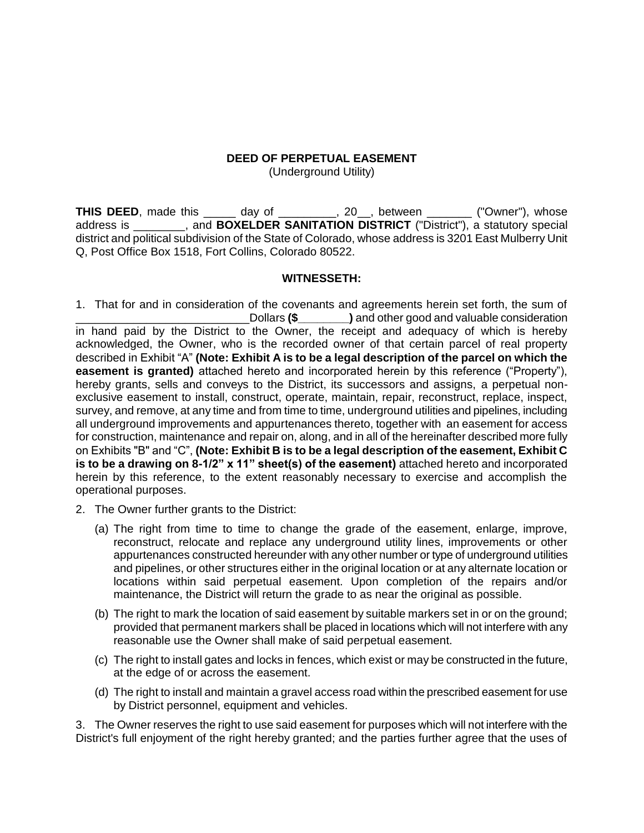## **DEED OF PERPETUAL EASEMENT**

(Underground Utility)

**THIS DEED**, made this \_\_\_\_\_ day of \_\_\_\_\_\_\_\_, 20\_, between \_\_\_\_\_\_ ("Owner"), whose address is \_\_\_\_\_\_\_\_, and **BOXELDER SANITATION DISTRICT** ("District"), a statutory special district and political subdivision of the State of Colorado, whose address is 3201 East Mulberry Unit Q, Post Office Box 1518, Fort Collins, Colorado 80522.

## **WITNESSETH:**

1. That for and in consideration of the covenants and agreements herein set forth, the sum of \_\_\_\_\_\_\_\_\_\_\_\_\_\_\_\_\_\_\_\_\_\_\_\_\_\_\_Dollars **(\$\_\_\_\_\_\_\_\_)** and other good and valuable consideration in hand paid by the District to the Owner, the receipt and adequacy of which is hereby acknowledged, the Owner, who is the recorded owner of that certain parcel of real property described in Exhibit "A" **(Note: Exhibit A is to be a legal description of the parcel on which the easement is granted)** attached hereto and incorporated herein by this reference ("Property"), hereby grants, sells and conveys to the District, its successors and assigns, a perpetual nonexclusive easement to install, construct, operate, maintain, repair, reconstruct, replace, inspect, survey, and remove, at any time and from time to time, underground utilities and pipelines, including all underground improvements and appurtenances thereto, together with an easement for access for construction, maintenance and repair on, along, and in all of the hereinafter described more fully on Exhibits "B" and "C", **(Note: Exhibit B is to be a legal description of the easement, Exhibit C is to be a drawing on 8-1/2" x 11" sheet(s) of the easement)** attached hereto and incorporated herein by this reference, to the extent reasonably necessary to exercise and accomplish the operational purposes.

- 2. The Owner further grants to the District:
	- (a) The right from time to time to change the grade of the easement, enlarge, improve, reconstruct, relocate and replace any underground utility lines, improvements or other appurtenances constructed hereunder with any other number or type of underground utilities and pipelines, or other structures either in the original location or at any alternate location or locations within said perpetual easement. Upon completion of the repairs and/or maintenance, the District will return the grade to as near the original as possible.
	- (b) The right to mark the location of said easement by suitable markers set in or on the ground; provided that permanent markers shall be placed in locations which will not interfere with any reasonable use the Owner shall make of said perpetual easement.
	- (c) The right to install gates and locks in fences, which exist or may be constructed in the future, at the edge of or across the easement.
	- (d) The right to install and maintain a gravel access road within the prescribed easement for use by District personnel, equipment and vehicles.

3. The Owner reserves the right to use said easement for purposes which will not interfere with the District's full enjoyment of the right hereby granted; and the parties further agree that the uses of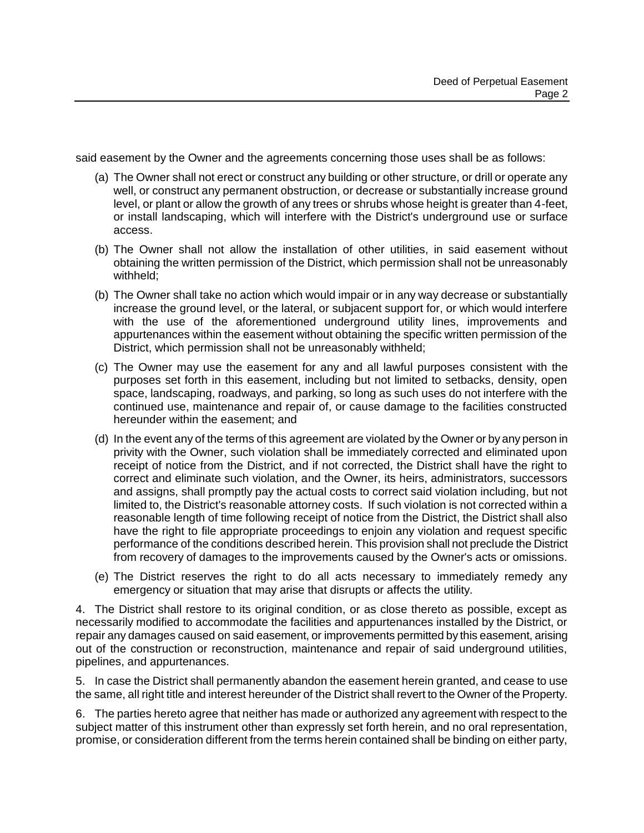said easement by the Owner and the agreements concerning those uses shall be as follows:

- (a) The Owner shall not erect or construct any building or other structure, or drill or operate any well, or construct any permanent obstruction, or decrease or substantially increase ground level, or plant or allow the growth of any trees or shrubs whose height is greater than 4-feet, or install landscaping, which will interfere with the District's underground use or surface access.
- (b) The Owner shall not allow the installation of other utilities, in said easement without obtaining the written permission of the District, which permission shall not be unreasonably withheld;
- (b) The Owner shall take no action which would impair or in any way decrease or substantially increase the ground level, or the lateral, or subjacent support for, or which would interfere with the use of the aforementioned underground utility lines, improvements and appurtenances within the easement without obtaining the specific written permission of the District, which permission shall not be unreasonably withheld;
- (c) The Owner may use the easement for any and all lawful purposes consistent with the purposes set forth in this easement, including but not limited to setbacks, density, open space, landscaping, roadways, and parking, so long as such uses do not interfere with the continued use, maintenance and repair of, or cause damage to the facilities constructed hereunder within the easement; and
- (d) In the event any of the terms of this agreement are violated by the Owner or by any person in privity with the Owner, such violation shall be immediately corrected and eliminated upon receipt of notice from the District, and if not corrected, the District shall have the right to correct and eliminate such violation, and the Owner, its heirs, administrators, successors and assigns, shall promptly pay the actual costs to correct said violation including, but not limited to, the District's reasonable attorney costs. If such violation is not corrected within a reasonable length of time following receipt of notice from the District, the District shall also have the right to file appropriate proceedings to enjoin any violation and request specific performance of the conditions described herein. This provision shall not preclude the District from recovery of damages to the improvements caused by the Owner's acts or omissions.
- (e) The District reserves the right to do all acts necessary to immediately remedy any emergency or situation that may arise that disrupts or affects the utility.

4. The District shall restore to its original condition, or as close thereto as possible, except as necessarily modified to accommodate the facilities and appurtenances installed by the District, or repair any damages caused on said easement, or improvements permitted by this easement, arising out of the construction or reconstruction, maintenance and repair of said underground utilities, pipelines, and appurtenances.

5. In case the District shall permanently abandon the easement herein granted, and cease to use the same, all right title and interest hereunder of the District shall revert to the Owner of the Property.

6. The parties hereto agree that neither has made or authorized any agreement with respect to the subject matter of this instrument other than expressly set forth herein, and no oral representation, promise, or consideration different from the terms herein contained shall be binding on either party,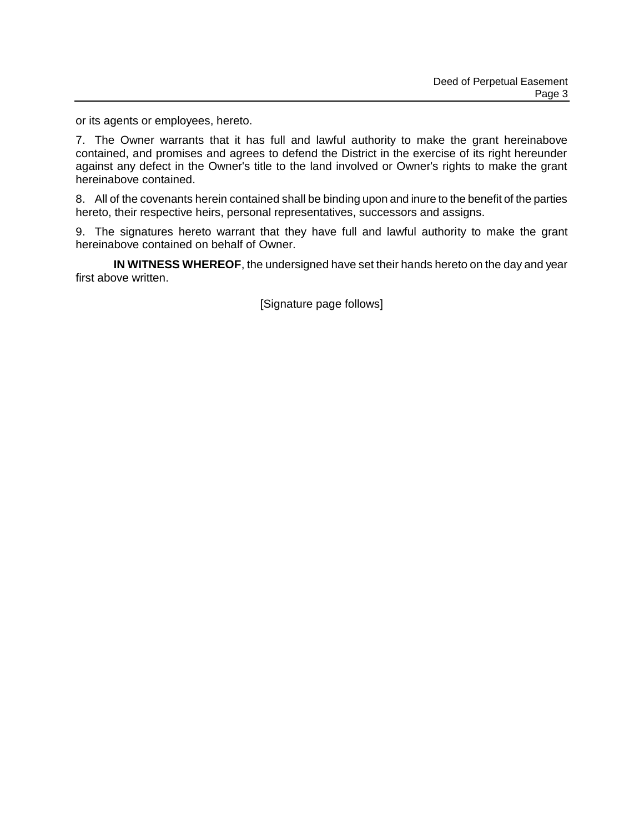or its agents or employees, hereto.

7. The Owner warrants that it has full and lawful authority to make the grant hereinabove contained, and promises and agrees to defend the District in the exercise of its right hereunder against any defect in the Owner's title to the land involved or Owner's rights to make the grant hereinabove contained.

8. All of the covenants herein contained shall be binding upon and inure to the benefit of the parties hereto, their respective heirs, personal representatives, successors and assigns.

9. The signatures hereto warrant that they have full and lawful authority to make the grant hereinabove contained on behalf of Owner.

**IN WITNESS WHEREOF**, the undersigned have set their hands hereto on the day and year first above written.

[Signature page follows]